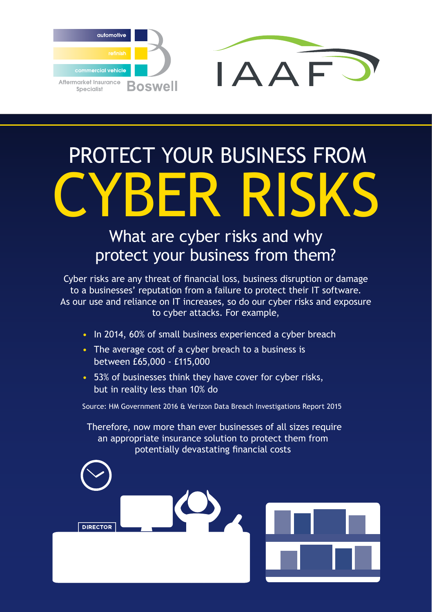

## PROTECT YOUR BUSINESS FROM CYBER RISKS

## What are cyber risks and why protect your business from them?

Cyber risks are any threat of financial loss, business disruption or damage to a businesses' reputation from a failure to protect their IT software. As our use and reliance on IT increases, so do our cyber risks and exposure to cyber attacks. For example,

- In 2014, 60% of small business experienced a cyber breach
- The average cost of a cyber breach to a business is between £65,000 - £115,000
- 53% of businesses think they have cover for cyber risks, but in reality less than 10% do

Source: HM Government 2016 & Verizon Data Breach Investigations Report 2015

 Therefore, now more than ever businesses of all sizes require an appropriate insurance solution to protect them from potentially devastating financial costs